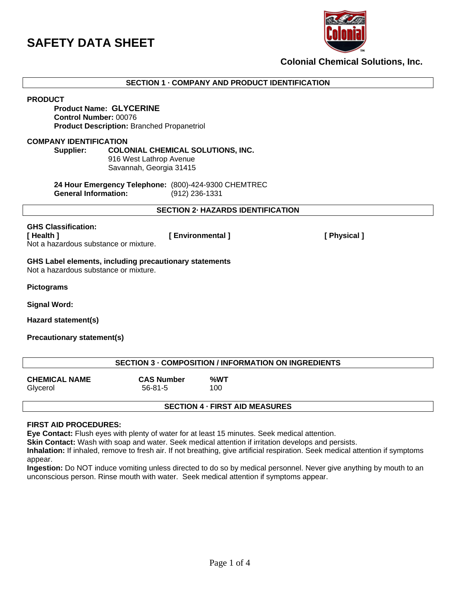

**Colonial Chemical Solutions, Inc.**

**SECTION 1 · COMPANY AND PRODUCT IDENTIFICATION**

**PRODUCT**

## **Product Name: GLYCERINE Control Number:** 00076 **Product Description:** Branched Propanetriol

#### **COMPANY IDENTIFICATION**

#### **Supplier: COLONIAL CHEMICAL SOLUTIONS, INC.**

916 West Lathrop Avenue Savannah, Georgia 31415

**24 Hour Emergency Telephone:** (800)-424-9300 CHEMTREC **General Information:** (912) 236-1331

**SECTION 2· HAZARDS IDENTIFICATION**

## **GHS Classification:**

**[ Health ] [ Environmental ] [ Physical ]**  Not a hazardous substance or mixture.

**GHS Label elements, including precautionary statements**  Not a hazardous substance or mixture.

**Pictograms** 

**Signal Word:** 

**Hazard statement(s)**

**Precautionary statement(s)**

| <b>SECTION 3 - COMPOSITION / INFORMATION ON INGREDIENTS</b> |                                    |            |
|-------------------------------------------------------------|------------------------------------|------------|
| <b>CHEMICAL NAME</b><br>Glycerol                            | <b>CAS Number</b><br>$56 - 81 - 5$ | %WT<br>100 |
| <b>SECTION 4 - FIRST AID MEASURES</b>                       |                                    |            |

## **FIRST AID PROCEDURES:**

**Eye Contact:** Flush eyes with plenty of water for at least 15 minutes. Seek medical attention.

**Skin Contact:** Wash with soap and water. Seek medical attention if irritation develops and persists.

**Inhalation:** If inhaled, remove to fresh air. If not breathing, give artificial respiration. Seek medical attention if symptoms appear.

**Ingestion:** Do NOT induce vomiting unless directed to do so by medical personnel. Never give anything by mouth to an unconscious person. Rinse mouth with water. Seek medical attention if symptoms appear.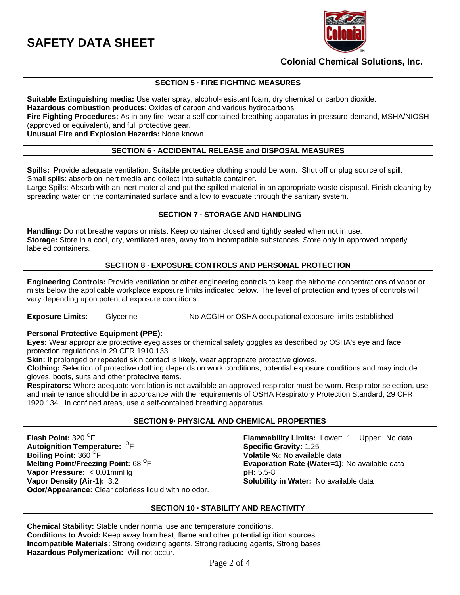

## **Colonial Chemical Solutions, Inc.**

## **SECTION 5 · FIRE FIGHTING MEASURES**

**Suitable Extinguishing media:** Use water spray, alcohol-resistant foam, dry chemical or carbon dioxide. **Hazardous combustion products:** Oxides of carbon and various hydrocarbons

**Fire Fighting Procedures:** As in any fire, wear a self-contained breathing apparatus in pressure-demand, MSHA/NIOSH (approved or equivalent), and full protective gear.

**Unusual Fire and Explosion Hazards:** None known.

## **SECTION 6 · ACCIDENTAL RELEASE and DISPOSAL MEASURES**

**Spills:** Provide adequate ventilation. Suitable protective clothing should be worn. Shut off or plug source of spill. Small spills: absorb on inert media and collect into suitable container.

Large Spills: Absorb with an inert material and put the spilled material in an appropriate waste disposal. Finish cleaning by spreading water on the contaminated surface and allow to evacuate through the sanitary system.

#### **SECTION 7 · STORAGE AND HANDLING**

**Handling:** Do not breathe vapors or mists. Keep container closed and tightly sealed when not in use. **Storage:** Store in a cool, dry, ventilated area, away from incompatible substances. Store only in approved properly labeled containers.

## **SECTION 8 · EXPOSURE CONTROLS AND PERSONAL PROTECTION**

**Engineering Controls:** Provide ventilation or other engineering controls to keep the airborne concentrations of vapor or mists below the applicable workplace exposure limits indicated below. The level of protection and types of controls will vary depending upon potential exposure conditions.

**Exposure Limits:** Glycerine No ACGIH or OSHA occupational exposure limits established

## **Personal Protective Equipment (PPE):**

**Eyes:** Wear appropriate protective eyeglasses or chemical safety goggles as described by OSHA's eye and face protection regulations in 29 CFR 1910.133.

Skin: If prolonged or repeated skin contact is likely, wear appropriate protective gloves.

**Clothing:** Selection of protective clothing depends on work conditions, potential exposure conditions and may include gloves, boots, suits and other protective items.

**Respirators:** Where adequate ventilation is not available an approved respirator must be worn. Respirator selection, use and maintenance should be in accordance with the requirements of OSHA Respiratory Protection Standard, 29 CFR 1920.134. In confined areas, use a self-contained breathing apparatus.

## **SECTION 9· PHYSICAL AND CHEMICAL PROPERTIES**

**Flash Point: 320 <sup>O</sup>F Autoignition Temperature: <sup>O</sup>F Boiling Point: 360 <sup>O</sup>F Melting Point/Freezing Point:** 68 <sup>O</sup>F **Vapor Pressure:** < 0.01mmHg **pH:** 5.5-8 **Vapor Density (Air-1):** 3.2 **Solubility in Water:** No available data **Odor/Appearance:** Clear colorless liquid with no odor.

**Flammability Limits: Lower: 1 Upper: No data Specific Gravity: 1.25** Volatile %: No available data **Evaporation Rate (Water=1): No available data** 

#### **SECTION 10 · STABILITY AND REACTIVITY**

**Chemical Stability:** Stable under normal use and temperature conditions. **Conditions to Avoid:** Keep away from heat, flame and other potential ignition sources. **Incompatible Materials:** Strong oxidizing agents, Strong reducing agents, Strong bases **Hazardous Polymerization:** Will not occur.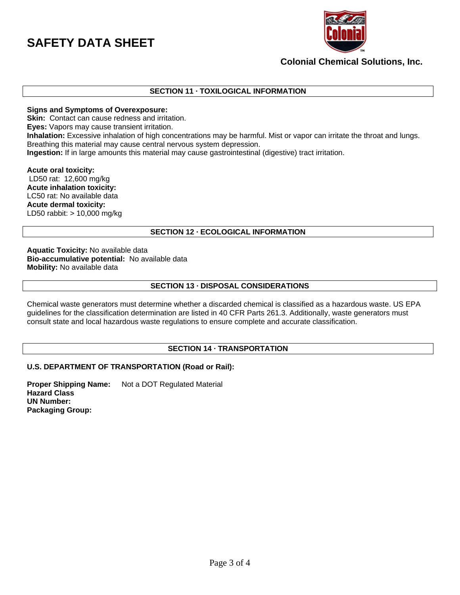

## **Colonial Chemical Solutions, Inc.**

## **SECTION 11 · TOXILOGICAL INFORMATION**

#### **Signs and Symptoms of Overexposure:**

**Skin:** Contact can cause redness and irritation.

**Eyes:** Vapors may cause transient irritation.

**Inhalation:** Excessive inhalation of high concentrations may be harmful. Mist or vapor can irritate the throat and lungs. Breathing this material may cause central nervous system depression.

**Ingestion:** If in large amounts this material may cause gastrointestinal (digestive) tract irritation.

**Acute oral toxicity:** LD50 rat: 12,600 mg/kg **Acute inhalation toxicity:** LC50 rat: No available data **Acute dermal toxicity:** LD50 rabbit: > 10,000 mg/kg

### **SECTION 12 · ECOLOGICAL INFORMATION**

**Aquatic Toxicity:** No available data **Bio-accumulative potential:** No available data **Mobility:** No available data

#### **SECTION 13 · DISPOSAL CONSIDERATIONS**

Chemical waste generators must determine whether a discarded chemical is classified as a hazardous waste. US EPA guidelines for the classification determination are listed in 40 CFR Parts 261.3. Additionally, waste generators must consult state and local hazardous waste regulations to ensure complete and accurate classification.

## **SECTION 14 · TRANSPORTATION**

#### **U.S. DEPARTMENT OF TRANSPORTATION (Road or Rail):**

**Proper Shipping Name:** Not a DOT Regulated Material **Hazard Class UN Number: Packaging Group:**